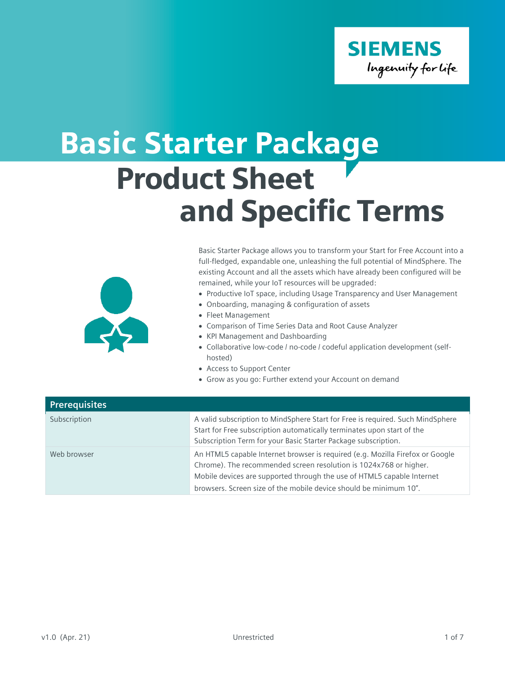

## Basic Starter Package Product Sheet and Specific Terms



Basic Starter Package allows you to transform your Start for Free Account into a full-fledged, expandable one, unleashing the full potential of MindSphere. The existing Account and all the assets which have already been configured will be remained, while your IoT resources will be upgraded:

- Productive IoT space, including Usage Transparency and User Management
- Onboarding, managing & configuration of assets
- Fleet Management
- Comparison of Time Series Data and Root Cause Analyzer
- KPI Management and Dashboarding
- Collaborative low-code / no-code / codeful application development (selfhosted)
- Access to Support Center
- Grow as you go: Further extend your Account on demand

| <b>Prerequisites</b> |                                                                                                                                                                                                                                                                                                   |
|----------------------|---------------------------------------------------------------------------------------------------------------------------------------------------------------------------------------------------------------------------------------------------------------------------------------------------|
| Subscription         | A valid subscription to MindSphere Start for Free is required. Such MindSphere<br>Start for Free subscription automatically terminates upon start of the<br>Subscription Term for your Basic Starter Package subscription.                                                                        |
| Web browser          | An HTML5 capable Internet browser is required (e.g. Mozilla Firefox or Google<br>Chrome). The recommended screen resolution is 1024x768 or higher.<br>Mobile devices are supported through the use of HTML5 capable Internet<br>browsers. Screen size of the mobile device should be minimum 10". |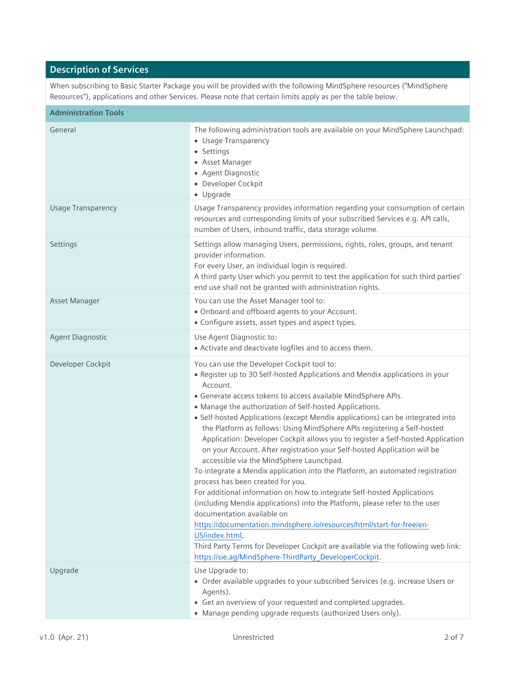## **Description of Services**

When subscribing to Basic Starter Package you will be provided with the following MindSphere resources ("MindSphere Resources"), applications and other Services. Please note that certain limits apply as per the table below.

| <b>Administration Tools</b> |                                                                                                                                                                                                                                                                                                                                                                                                                                                                                                                                                                                                                                                                                                                                                                                                                                                                                                                                                                                                                                                                                                                                                                                                      |
|-----------------------------|------------------------------------------------------------------------------------------------------------------------------------------------------------------------------------------------------------------------------------------------------------------------------------------------------------------------------------------------------------------------------------------------------------------------------------------------------------------------------------------------------------------------------------------------------------------------------------------------------------------------------------------------------------------------------------------------------------------------------------------------------------------------------------------------------------------------------------------------------------------------------------------------------------------------------------------------------------------------------------------------------------------------------------------------------------------------------------------------------------------------------------------------------------------------------------------------------|
| General                     | The following administration tools are available on your MindSphere Launchpad:<br>• Usage Transparency<br>• Settings<br>• Asset Manager<br>• Agent Diagnostic<br>• Developer Cockpit<br>• Upgrade                                                                                                                                                                                                                                                                                                                                                                                                                                                                                                                                                                                                                                                                                                                                                                                                                                                                                                                                                                                                    |
| <b>Usage Transparency</b>   | Usage Transparency provides information regarding your consumption of certain<br>resources and corresponding limits of your subscribed Services e.g. API calls,<br>number of Users, inbound traffic, data storage volume.                                                                                                                                                                                                                                                                                                                                                                                                                                                                                                                                                                                                                                                                                                                                                                                                                                                                                                                                                                            |
| Settings                    | Settings allow managing Users, permissions, rights, roles, groups, and tenant<br>provider information.<br>For every User, an individual login is required.<br>A third party User which you permit to test the application for such third parties'<br>end use shall not be granted with administration rights.                                                                                                                                                                                                                                                                                                                                                                                                                                                                                                                                                                                                                                                                                                                                                                                                                                                                                        |
| Asset Manager               | You can use the Asset Manager tool to:<br>• Onboard and offboard agents to your Account.<br>• Configure assets, asset types and aspect types.                                                                                                                                                                                                                                                                                                                                                                                                                                                                                                                                                                                                                                                                                                                                                                                                                                                                                                                                                                                                                                                        |
| Agent Diagnostic            | Use Agent Diagnostic to:<br>• Activate and deactivate logfiles and to access them.                                                                                                                                                                                                                                                                                                                                                                                                                                                                                                                                                                                                                                                                                                                                                                                                                                                                                                                                                                                                                                                                                                                   |
| Developer Cockpit           | You can use the Developer Cockpit tool to:<br>• Register up to 30 Self-hosted Applications and Mendix applications in your<br>Account.<br>• Generate access tokens to access available MindSphere APIs.<br>• Manage the authorization of Self-hosted Applications.<br>• Self-hosted Applications (except Mendix applications) can be integrated into<br>the Platform as follows: Using MindSphere APIs registering a Self-hosted<br>Application: Developer Cockpit allows you to register a Self-hosted Application<br>on your Account. After registration your Self-hosted Application will be<br>accessible via the MindSphere Launchpad.<br>To integrate a Mendix application into the Platform, an automated registration<br>process has been created for you.<br>For additional information on how to integrate Self-hosted Applications<br>(including Mendix applications) into the Platform, please refer to the user<br>documentation available on<br>https://documentation.mindsphere.io/resources/html/start-for-free/en-<br>US/index.html.<br>Third Party Terms for Developer Cockpit are available via the following web link:<br>https://sie.ag/MindSphere-ThirdParty_DeveloperCockpit. |
| Upgrade                     | Use Upgrade to:<br>• Order available upgrades to your subscribed Services (e.g. increase Users or<br>Agents).<br>• Get an overview of your requested and completed upgrades.<br>• Manage pending upgrade requests (authorized Users only).                                                                                                                                                                                                                                                                                                                                                                                                                                                                                                                                                                                                                                                                                                                                                                                                                                                                                                                                                           |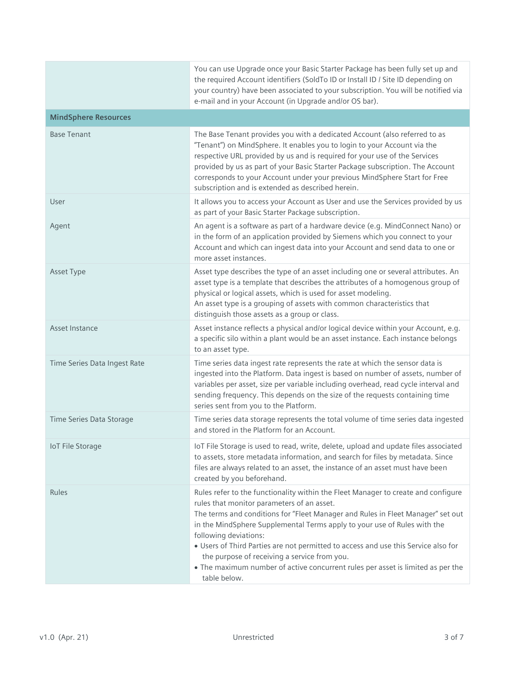|                              | You can use Upgrade once your Basic Starter Package has been fully set up and<br>the required Account identifiers (SoldTo ID or Install ID / Site ID depending on<br>your country) have been associated to your subscription. You will be notified via<br>e-mail and in your Account (in Upgrade and/or OS bar).                                                                                                                                                                                                                                                 |
|------------------------------|------------------------------------------------------------------------------------------------------------------------------------------------------------------------------------------------------------------------------------------------------------------------------------------------------------------------------------------------------------------------------------------------------------------------------------------------------------------------------------------------------------------------------------------------------------------|
| <b>MindSphere Resources</b>  |                                                                                                                                                                                                                                                                                                                                                                                                                                                                                                                                                                  |
| <b>Base Tenant</b>           | The Base Tenant provides you with a dedicated Account (also referred to as<br>"Tenant") on MindSphere. It enables you to login to your Account via the<br>respective URL provided by us and is required for your use of the Services<br>provided by us as part of your Basic Starter Package subscription. The Account<br>corresponds to your Account under your previous MindSphere Start for Free<br>subscription and is extended as described herein.                                                                                                         |
| User                         | It allows you to access your Account as User and use the Services provided by us<br>as part of your Basic Starter Package subscription.                                                                                                                                                                                                                                                                                                                                                                                                                          |
| Agent                        | An agent is a software as part of a hardware device (e.g. MindConnect Nano) or<br>in the form of an application provided by Siemens which you connect to your<br>Account and which can ingest data into your Account and send data to one or<br>more asset instances.                                                                                                                                                                                                                                                                                            |
| Asset Type                   | Asset type describes the type of an asset including one or several attributes. An<br>asset type is a template that describes the attributes of a homogenous group of<br>physical or logical assets, which is used for asset modeling.<br>An asset type is a grouping of assets with common characteristics that<br>distinguish those assets as a group or class.                                                                                                                                                                                                 |
| Asset Instance               | Asset instance reflects a physical and/or logical device within your Account, e.g.<br>a specific silo within a plant would be an asset instance. Each instance belongs<br>to an asset type.                                                                                                                                                                                                                                                                                                                                                                      |
| Time Series Data Ingest Rate | Time series data ingest rate represents the rate at which the sensor data is<br>ingested into the Platform. Data ingest is based on number of assets, number of<br>variables per asset, size per variable including overhead, read cycle interval and<br>sending frequency. This depends on the size of the requests containing time<br>series sent from you to the Platform.                                                                                                                                                                                    |
| Time Series Data Storage     | Time series data storage represents the total volume of time series data ingested<br>and stored in the Platform for an Account.                                                                                                                                                                                                                                                                                                                                                                                                                                  |
| <b>IoT File Storage</b>      | IoT File Storage is used to read, write, delete, upload and update files associated<br>to assets, store metadata information, and search for files by metadata. Since<br>files are always related to an asset, the instance of an asset must have been<br>created by you beforehand.                                                                                                                                                                                                                                                                             |
| Rules                        | Rules refer to the functionality within the Fleet Manager to create and configure<br>rules that monitor parameters of an asset.<br>The terms and conditions for "Fleet Manager and Rules in Fleet Manager" set out<br>in the MindSphere Supplemental Terms apply to your use of Rules with the<br>following deviations:<br>• Users of Third Parties are not permitted to access and use this Service also for<br>the purpose of receiving a service from you.<br>• The maximum number of active concurrent rules per asset is limited as per the<br>table below. |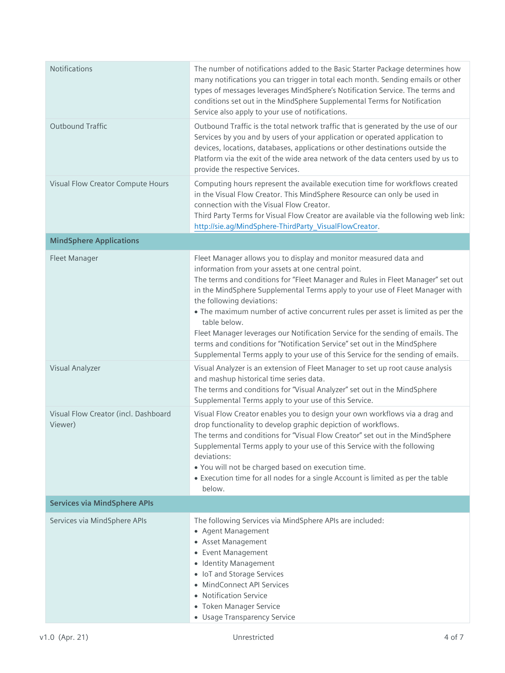| Notifications                                   | The number of notifications added to the Basic Starter Package determines how<br>many notifications you can trigger in total each month. Sending emails or other<br>types of messages leverages MindSphere's Notification Service. The terms and<br>conditions set out in the MindSphere Supplemental Terms for Notification<br>Service also apply to your use of notifications.                                                                                                                                                                                                                                                                                              |
|-------------------------------------------------|-------------------------------------------------------------------------------------------------------------------------------------------------------------------------------------------------------------------------------------------------------------------------------------------------------------------------------------------------------------------------------------------------------------------------------------------------------------------------------------------------------------------------------------------------------------------------------------------------------------------------------------------------------------------------------|
| <b>Outbound Traffic</b>                         | Outbound Traffic is the total network traffic that is generated by the use of our<br>Services by you and by users of your application or operated application to<br>devices, locations, databases, applications or other destinations outside the<br>Platform via the exit of the wide area network of the data centers used by us to<br>provide the respective Services.                                                                                                                                                                                                                                                                                                     |
| Visual Flow Creator Compute Hours               | Computing hours represent the available execution time for workflows created<br>in the Visual Flow Creator. This MindSphere Resource can only be used in<br>connection with the Visual Flow Creator.<br>Third Party Terms for Visual Flow Creator are available via the following web link:<br>http://sie.ag/MindSphere-ThirdParty_VisualFlowCreator.                                                                                                                                                                                                                                                                                                                         |
| <b>MindSphere Applications</b>                  |                                                                                                                                                                                                                                                                                                                                                                                                                                                                                                                                                                                                                                                                               |
| Fleet Manager                                   | Fleet Manager allows you to display and monitor measured data and<br>information from your assets at one central point.<br>The terms and conditions for "Fleet Manager and Rules in Fleet Manager" set out<br>in the MindSphere Supplemental Terms apply to your use of Fleet Manager with<br>the following deviations:<br>• The maximum number of active concurrent rules per asset is limited as per the<br>table below.<br>Fleet Manager leverages our Notification Service for the sending of emails. The<br>terms and conditions for "Notification Service" set out in the MindSphere<br>Supplemental Terms apply to your use of this Service for the sending of emails. |
| Visual Analyzer                                 | Visual Analyzer is an extension of Fleet Manager to set up root cause analysis<br>and mashup historical time series data.<br>The terms and conditions for "Visual Analyzer" set out in the MindSphere<br>Supplemental Terms apply to your use of this Service.                                                                                                                                                                                                                                                                                                                                                                                                                |
| Visual Flow Creator (incl. Dashboard<br>Viewer) | Visual Flow Creator enables you to design your own workflows via a drag and<br>drop functionality to develop graphic depiction of workflows.<br>The terms and conditions for "Visual Flow Creator" set out in the MindSphere<br>Supplemental Terms apply to your use of this Service with the following<br>deviations:<br>. You will not be charged based on execution time.<br>• Execution time for all nodes for a single Account is limited as per the table<br>below.                                                                                                                                                                                                     |
| <b>Services via MindSphere APIs</b>             |                                                                                                                                                                                                                                                                                                                                                                                                                                                                                                                                                                                                                                                                               |
| Services via MindSphere APIs                    | The following Services via MindSphere APIs are included:<br>• Agent Management<br>• Asset Management<br>• Event Management<br>• Identity Management<br>• IoT and Storage Services<br>• MindConnect API Services<br>• Notification Service<br>• Token Manager Service<br>• Usage Transparency Service                                                                                                                                                                                                                                                                                                                                                                          |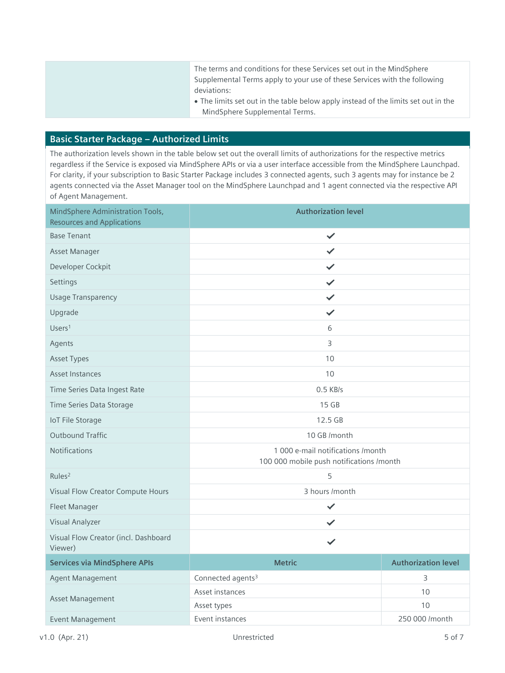| The terms and conditions for these Services set out in the MindSphere<br>Supplemental Terms apply to your use of these Services with the following |
|----------------------------------------------------------------------------------------------------------------------------------------------------|
| deviations:                                                                                                                                        |
| • The limits set out in the table below apply instead of the limits set out in the                                                                 |
| MindSphere Supplemental Terms.                                                                                                                     |

## **Basic Starter Package – Authorized Limits**

The authorization levels shown in the table below set out the overall limits of authorizations for the respective metrics regardless if the Service is exposed via MindSphere APIs or via a user interface accessible from the MindSphere Launchpad. For clarity, if your subscription to Basic Starter Package includes 3 connected agents, such 3 agents may for instance be 2 agents connected via the Asset Manager tool on the MindSphere Launchpad and 1 agent connected via the respective API of Agent Management.

| MindSphere Administration Tools,<br><b>Resources and Applications</b> | <b>Authorization level</b>                                                    |                            |
|-----------------------------------------------------------------------|-------------------------------------------------------------------------------|----------------------------|
| <b>Base Tenant</b>                                                    | ✓                                                                             |                            |
| Asset Manager                                                         | ✓                                                                             |                            |
| Developer Cockpit                                                     | ✓                                                                             |                            |
| Settings                                                              | ✓                                                                             |                            |
| <b>Usage Transparency</b>                                             | ✓                                                                             |                            |
| Upgrade                                                               | ✓                                                                             |                            |
| Users <sup>1</sup>                                                    | 6                                                                             |                            |
| Agents                                                                | 3                                                                             |                            |
| <b>Asset Types</b>                                                    | 10                                                                            |                            |
| Asset Instances                                                       | 10                                                                            |                            |
| Time Series Data Ingest Rate                                          | $0.5$ KB/s                                                                    |                            |
| Time Series Data Storage                                              | 15 GB                                                                         |                            |
| <b>IoT File Storage</b>                                               | 12.5 GB                                                                       |                            |
| <b>Outbound Traffic</b>                                               | 10 GB /month                                                                  |                            |
| Notifications                                                         | 1 000 e-mail notifications /month<br>100 000 mobile push notifications /month |                            |
| Rules <sup>2</sup>                                                    | 5                                                                             |                            |
| Visual Flow Creator Compute Hours                                     | 3 hours /month                                                                |                            |
| Fleet Manager                                                         | $\checkmark$                                                                  |                            |
| Visual Analyzer                                                       | ✓                                                                             |                            |
| Visual Flow Creator (incl. Dashboard<br>Viewer)                       | ✓                                                                             |                            |
| <b>Services via MindSphere APIs</b>                                   | <b>Metric</b>                                                                 | <b>Authorization level</b> |
| Agent Management                                                      | Connected agents <sup>3</sup>                                                 | 3                          |
| Asset Management                                                      | Asset instances                                                               | 10                         |
|                                                                       | Asset types                                                                   | 10                         |
| Event Management                                                      | Event instances                                                               | 250 000 /month             |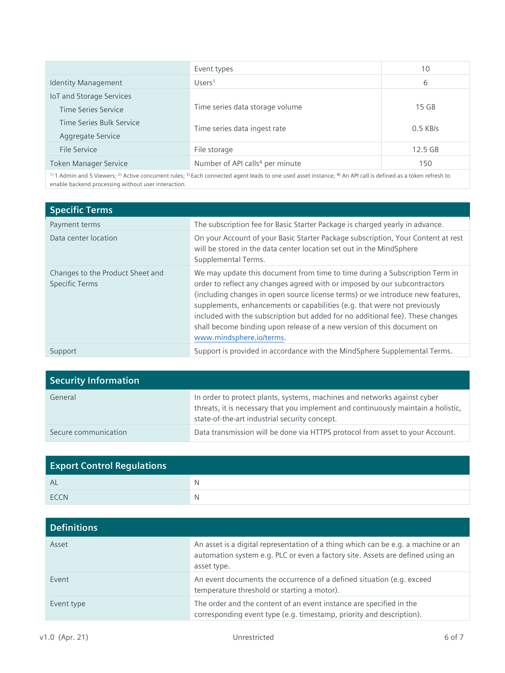|                              | Event types                                 | 10         |
|------------------------------|---------------------------------------------|------------|
| <b>Identity Management</b>   | Users <sup>1</sup>                          | 6          |
| IoT and Storage Services     |                                             |            |
| Time Series Service          | Time series data storage volume             | $15$ GB    |
| Time Series Bulk Service     | Time series data ingest rate                | $0.5$ KB/s |
| Aggregate Service            |                                             |            |
| File Service                 | File storage                                | $12.5$ GB  |
| <b>Token Manager Service</b> | Number of API calls <sup>4</sup> per minute | 150        |

<sup>1)</sup> 1 Admin and 5 Viewers; <sup>2)</sup> Active concurrent rules; <sup>3)</sup> Each connected agent leads to one used asset instance; <sup>4)</sup> An API call is defined as a token refresh to enable backend processing without user interaction.

| <b>Specific Terms</b>                                     |                                                                                                                                                                                                                                                                                                                                                                                                                                                                                                                |
|-----------------------------------------------------------|----------------------------------------------------------------------------------------------------------------------------------------------------------------------------------------------------------------------------------------------------------------------------------------------------------------------------------------------------------------------------------------------------------------------------------------------------------------------------------------------------------------|
| Payment terms                                             | The subscription fee for Basic Starter Package is charged yearly in advance.                                                                                                                                                                                                                                                                                                                                                                                                                                   |
| Data center location                                      | On your Account of your Basic Starter Package subscription, Your Content at rest<br>will be stored in the data center location set out in the MindSphere<br>Supplemental Terms.                                                                                                                                                                                                                                                                                                                                |
| Changes to the Product Sheet and<br><b>Specific Terms</b> | We may update this document from time to time during a Subscription Term in<br>order to reflect any changes agreed with or imposed by our subcontractors<br>(including changes in open source license terms) or we introduce new features,<br>supplements, enhancements or capabilities (e.g. that were not previously<br>included with the subscription but added for no additional fee). These changes<br>shall become binding upon release of a new version of this document on<br>www.mindsphere.io/terms. |
| Support                                                   | Support is provided in accordance with the MindSphere Supplemental Terms.                                                                                                                                                                                                                                                                                                                                                                                                                                      |

| <b>Security Information</b> |                                                                                                                                                                                                                |
|-----------------------------|----------------------------------------------------------------------------------------------------------------------------------------------------------------------------------------------------------------|
| General                     | In order to protect plants, systems, machines and networks against cyber<br>threats, it is necessary that you implement and continuously maintain a holistic,<br>state-of-the-art industrial security concept. |
| Secure communication        | Data transmission will be done via HTTPS protocol from asset to your Account.                                                                                                                                  |

| <b>Export Control Regulations</b> |              |
|-----------------------------------|--------------|
| AL                                | <sup>N</sup> |
| <b>FCCN</b>                       | N            |

| <b>Definitions</b> |                                                                                                                                                                                    |
|--------------------|------------------------------------------------------------------------------------------------------------------------------------------------------------------------------------|
| Asset              | An asset is a digital representation of a thing which can be e.g. a machine or an<br>automation system e.g. PLC or even a factory site. Assets are defined using an<br>asset type. |
| Event              | An event documents the occurrence of a defined situation (e.g. exceed<br>temperature threshold or starting a motor).                                                               |
| Event type         | The order and the content of an event instance are specified in the<br>corresponding event type (e.g. timestamp, priority and description).                                        |